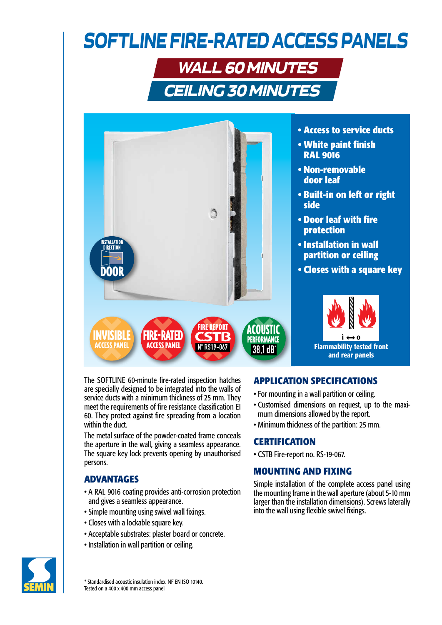# *SOFTLINE FIRE-RATED ACCESS PANELS*

## WALL 60 MINUTES CEILING 30 MINUTES



**• Access to service ducts**

- **White paint finish RAL 9016**
- **Non-removable door leaf**
- **Built-in on left or right side**
- **Door leaf with fire protection**
- **Installation in wall partition or ceiling**
- **Closes with a square key**



The SOFTLINE 60-minute fire-rated inspection hatches are specially designed to be integrated into the walls of service ducts with a minimum thickness of 25 mm. They meet the requirements of fire resistance classification EI 60. They protect against fire spreading from a location within the duct.

The metal surface of the powder-coated frame conceals the aperture in the wall, giving a seamless appearance. The square key lock prevents opening by unauthorised persons.

#### **ADVANTAGES**

- A RAL 9016 coating provides anti-corrosion protection and gives a seamless appearance.
- Simple mounting using swivel wall fixings.
- Closes with a lockable square key.
- Acceptable substrates: plaster board or concrete.
- Installation in wall partition or ceiling.

#### **APPLICATION SPECIFICATIONS**

- For mounting in a wall partition or ceiling.
- Customised dimensions on request, up to the maximum dimensions allowed by the report.
- Minimum thickness of the partition: 25 mm.

#### **CERTIFICATION**

• CSTB Fire-report no. RS-19-067.

#### **MOUNTING AND FIXING**

Simple installation of the complete access panel using the mounting frame in the wall aperture (about 5-10 mm larger than the installation dimensions). Screws laterally into the wall using flexible swivel fixings.



\* Standardised acoustic insulation index. NF EN ISO 10140. Tested on a 400 x 400 mm access panel